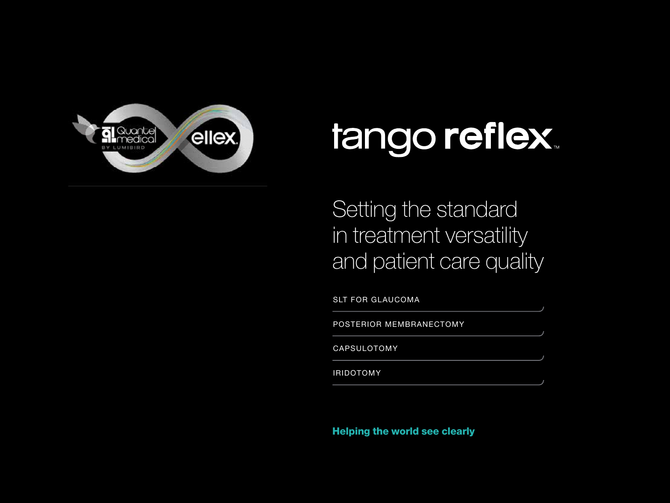

# tango reflex

Setting the standard in treatment versatility and patient care quality

SLT FOR GLAUCOMA

POSTERIOR MEMBRANECTOMY

CAPSULOTOMY

IRIDOTOMY

Helping the world see clearly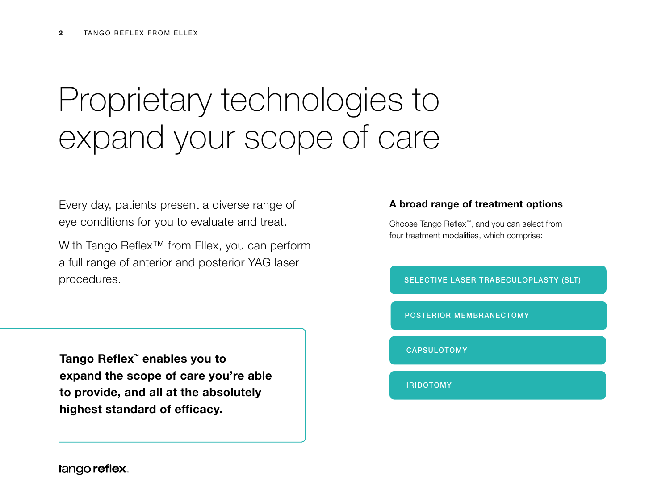## Proprietary technologies to expand your scope of care

Every day, patients present a diverse range of eye conditions for you to evaluate and treat.

With Tango Reflex<sup>™</sup> from Ellex, you can perform a full range of anterior and posterior YAG laser procedures. Selective Laser Trabeculoplasty (SLT)

Tango Reflex<sup>™</sup> enables you to expand the scope of care you're able to provide, and all at the absolutely highest standard of efficacy.

### A broad range of treatment options

Choose Tango Reflex™, and you can select from four treatment modalities, which comprise:

POSTERIOR MEMBRANECTOMY

CAPSULOTOMY

IRIDOTOMY

tango reflex.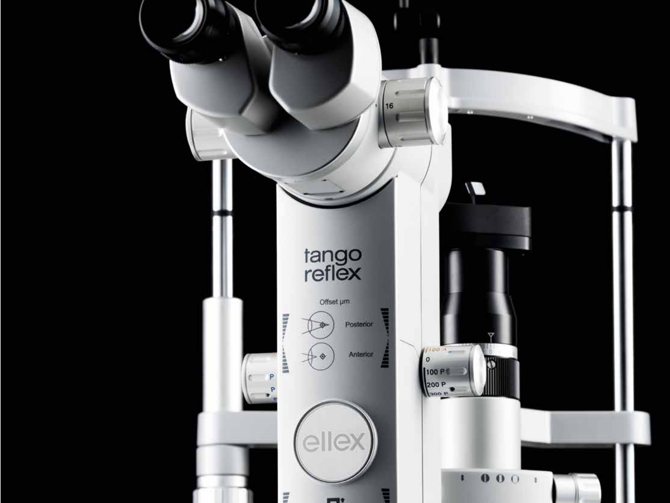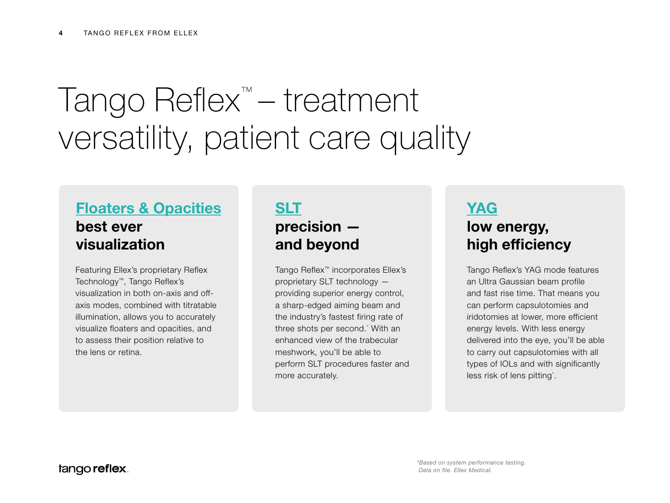## Tango Reflex™ – treatment versatility, patient care quality

### Floaters & Opacities best ever visualization

Featuring Ellex's proprietary Reflex Technology™, Tango Reflex's visualization in both on-axis and offaxis modes, combined with titratable illumination, allows you to accurately visualize floaters and opacities, and to assess their position relative to the lens or retina.

### SLT

### precision and beyond

Tango Reflex™ incorporates Ellex's proprietary SLT technology providing superior energy control, a sharp-edged aiming beam and the industry's fastest firing rate of three shots per second.\* With an enhanced view of the trabecular meshwork, you'll be able to perform SLT procedures faster and more accurately.

### YAG

### low energy, high efficiency

Tango Reflex's YAG mode features an Ultra Gaussian beam profile and fast rise time. That means you can perform capsulotomies and iridotomies at lower, more efficient energy levels. With less energy delivered into the eye, you'll be able to carry out capsulotomies with all types of IOLs and with significantly less risk of lens pitting\*.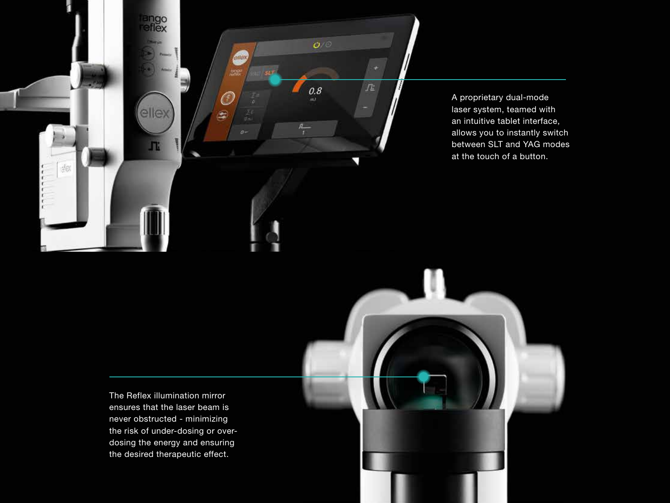

A proprietary dual-mode laser system, teamed with an intuitive tablet interface, allows you to instantly switch between SLT and YAG modes at the touch of a button.

The Reflex illumination mirror ensures that the laser beam is never obstructed - minimizing the risk of under-dosing or overdosing the energy and ensuring the desired therapeutic effect.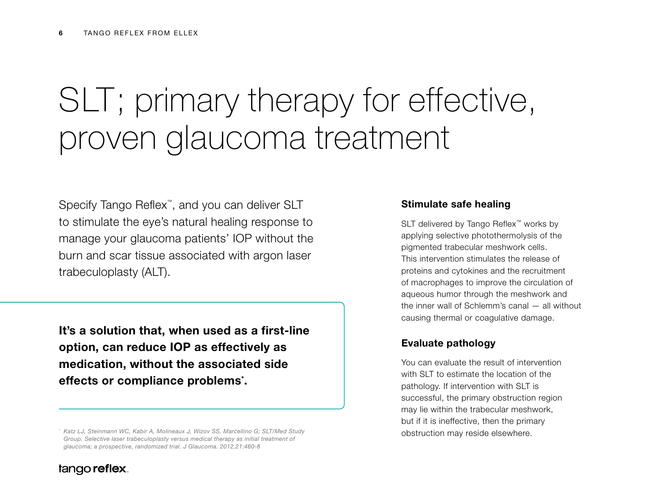## SLT; primary therapy for effective, proven glaucoma treatment

Specify Tango Reflex™ , and you can deliver SLT to stimulate the eye's natural healing response to manage your glaucoma patients' IOP without the burn and scar tissue associated with argon laser trabeculoplasty (ALT).

It's a solution that, when used as a first-line option, can reduce IOP as effectively as medication, without the associated side effects or compliance problems\*.

#### Stimulate safe healing

SLT delivered by Tango Reflex™ works by applying selective photothermolysis of the pigmented trabecular meshwork cells. This intervention stimulates the release of proteins and cytokines and the recruitment of macrophages to improve the circulation of aqueous humor through the meshwork and the inner wall of Schlemm's canal — all without causing thermal or coagulative damage.

#### Evaluate pathology

You can evaluate the result of intervention with SLT to estimate the location of the pathology. If intervention with SLT is successful, the primary obstruction region may lie within the trabecular meshwork, but if it is ineffective, then the primary obstruction may reside elsewhere.

### tango reflex.

*<sup>\*</sup> Katz LJ, Steinmann WC, Kabir A, Molineaux J, Wizov SS, Marcellino G; SLT/Med Study Group. Selective laser trabeculoplasty versus medical therapy as initial treatment of glaucoma; a prospective, randomized trial. J Glaucoma. 2012,21:460-8*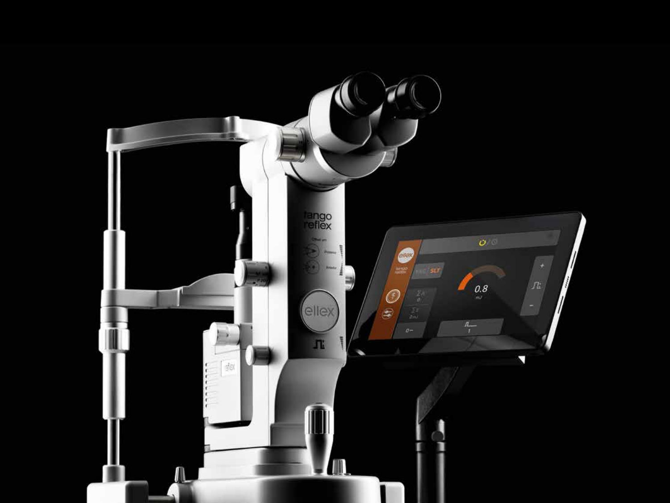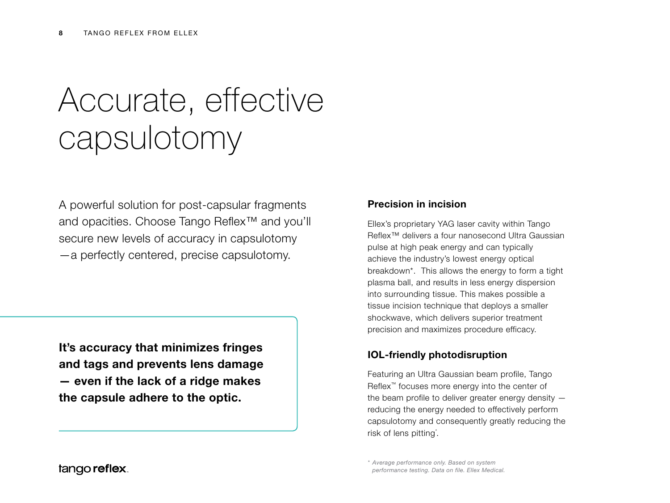## Accurate, effective capsulotomy

A powerful solution for post-capsular fragments and opacities. Choose Tango Reflex™ and you'll secure new levels of accuracy in capsulotomy —a perfectly centered, precise capsulotomy.

It's accuracy that minimizes fringes and tags and prevents lens damage — even if the lack of a ridge makes the capsule adhere to the optic.

### Precision in incision

Ellex's proprietary YAG laser cavity within Tango Reflex™ delivers a four nanosecond Ultra Gaussian pulse at high peak energy and can typically achieve the industry's lowest energy optical breakdown\*. This allows the energy to form a tight plasma ball, and results in less energy dispersion into surrounding tissue. This makes possible a tissue incision technique that deploys a smaller shockwave, which delivers superior treatment precision and maximizes procedure efficacy.

### IOL-friendly photodisruption

Featuring an Ultra Gaussian beam profile, Tango Reflex™ focuses more energy into the center of the beam profile to deliver greater energy density reducing the energy needed to effectively perform capsulotomy and consequently greatly reducing the risk of lens pitting\*.

tango reflex.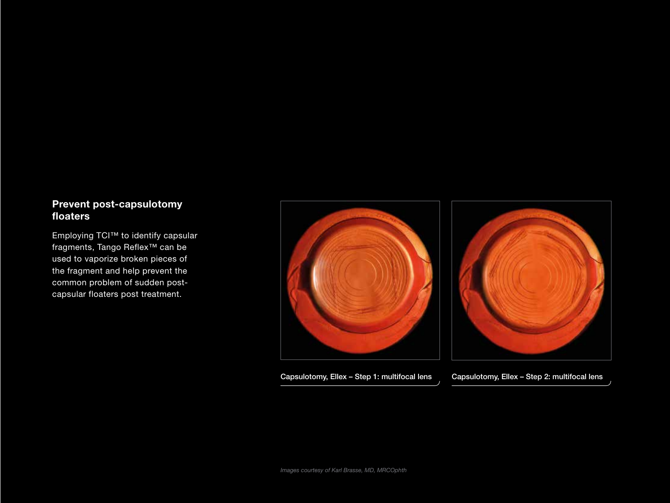### Prevent post-capsulotomy floaters

Employing TCI™ to identify capsular fragments, Tango Reflex™ can be used to vaporize broken pieces of the fragment and help prevent the common problem of sudden postcapsular floaters post treatment.



Capsulotomy, Ellex – Step 1: multifocal lens Capsulotomy, Ellex – Step 2: multifocal lens

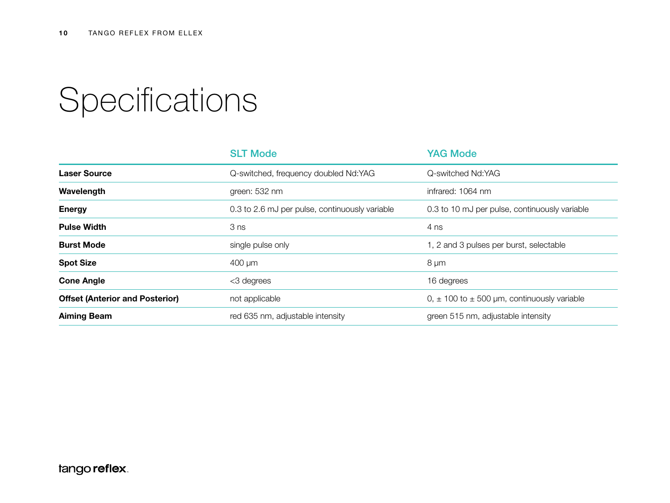## Specifications

|                                        | <b>SLT Mode</b>                                | <b>YAG Mode</b>                                     |
|----------------------------------------|------------------------------------------------|-----------------------------------------------------|
| <b>Laser Source</b>                    | Q-switched, frequency doubled Nd:YAG           | Q-switched Nd:YAG                                   |
| Wavelength                             | green: 532 nm                                  | infrared: 1064 nm                                   |
| <b>Energy</b>                          | 0.3 to 2.6 mJ per pulse, continuously variable | 0.3 to 10 mJ per pulse, continuously variable       |
| <b>Pulse Width</b>                     | 3 ns                                           | 4 ns                                                |
| <b>Burst Mode</b>                      | single pulse only                              | 1, 2 and 3 pulses per burst, selectable             |
| <b>Spot Size</b>                       | 400 µm                                         | $8 \mu m$                                           |
| <b>Cone Angle</b>                      | <3 degrees                                     | 16 degrees                                          |
| <b>Offset (Anterior and Posterior)</b> | not applicable                                 | 0, $\pm$ 100 to $\pm$ 500 µm, continuously variable |
| <b>Aiming Beam</b>                     | red 635 nm, adjustable intensity               | green 515 nm, adjustable intensity                  |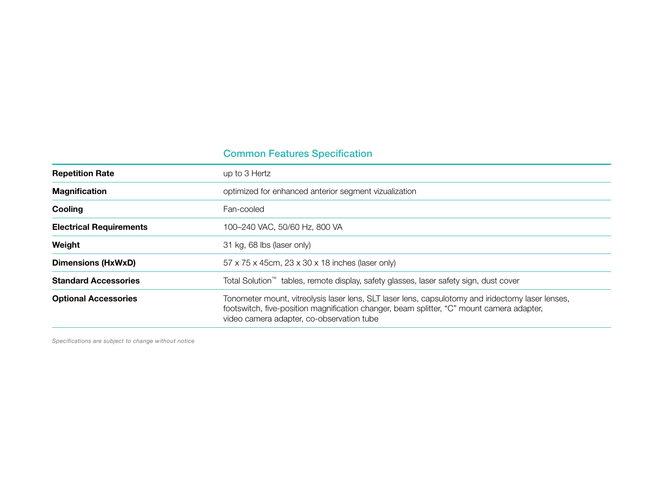### Common Features Specification

| <b>Repetition Rate</b>         | up to 3 Hertz                                                                                                                                                                                                                               |  |
|--------------------------------|---------------------------------------------------------------------------------------------------------------------------------------------------------------------------------------------------------------------------------------------|--|
| <b>Magnification</b>           | optimized for enhanced anterior segment vizualization                                                                                                                                                                                       |  |
| Cooling                        | Fan-cooled                                                                                                                                                                                                                                  |  |
| <b>Electrical Requirements</b> | 100-240 VAC, 50/60 Hz, 800 VA                                                                                                                                                                                                               |  |
| Weight                         | 31 kg, 68 lbs (laser only)                                                                                                                                                                                                                  |  |
| <b>Dimensions (HxWxD)</b>      | 57 x 75 x 45cm, 23 x 30 x 18 inches (laser only)                                                                                                                                                                                            |  |
| <b>Standard Accessories</b>    | Total Solution <sup>™</sup> tables, remote display, safety glasses, laser safety sign, dust cover                                                                                                                                           |  |
| <b>Optional Accessories</b>    | Tonometer mount, vitreolysis laser lens, SLT laser lens, capsulotomy and iridectomy laser lenses,<br>footswitch, five-position magnification changer, beam splitter, "C" mount camera adapter,<br>video camera adapter, co-observation tube |  |

*Specifications are subject to change without notice*